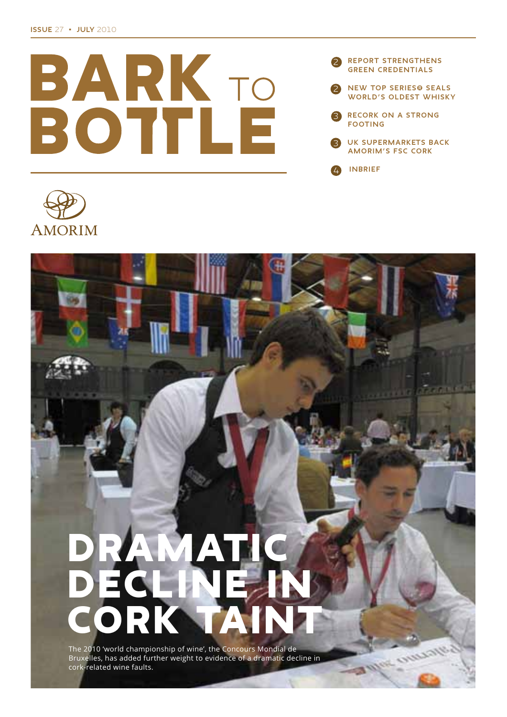





# The 2010 'world championship of wine', the Concours Mondial de

Bruxelles, has added further weight to evidence of a dramatic decline in cork-related wine faults.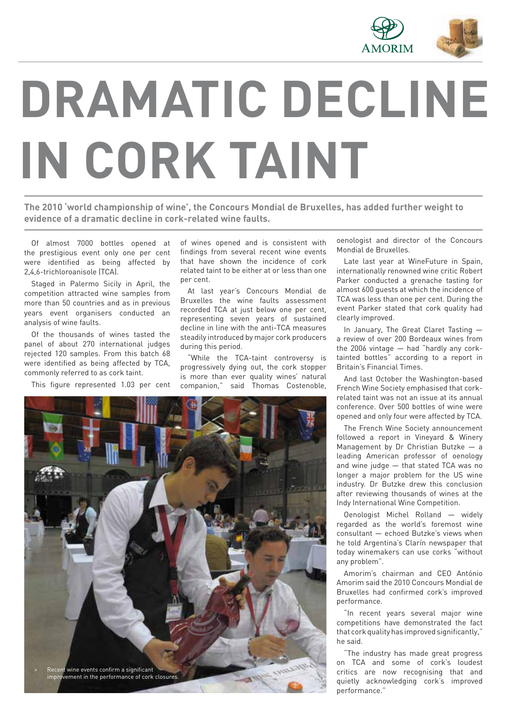

# **DRAMATIC DECLINE IN CORK TAINT**

**The 2010 'world championship of wine', the Concours Mondial de Bruxelles, has added further weight to evidence of a dramatic decline in cork-related wine faults.**

Of almost 7000 bottles opened at the prestigious event only one per cent were identified as being affected by 2,4,6-trichloroanisole (TCA).

Staged in Palermo Sicily in April, the competition attracted wine samples from more than 50 countries and as in previous years event organisers conducted an analysis of wine faults.

Of the thousands of wines tasted the panel of about 270 international judges rejected 120 samples. From this batch 68 were identified as being affected by TCA, commonly referred to as cork taint.

This figure represented 1.03 per cent

of wines opened and is consistent with findings from several recent wine events that have shown the incidence of cork related taint to be either at or less than one per cent.

At last year's Concours Mondial de Bruxelles the wine faults assessment recorded TCA at just below one per cent, representing seven years of sustained decline in line with the anti-TCA measures steadily introduced by major cork producers during this period.

"While the TCA-taint controversy is progressively dying out, the cork stopper is more than ever quality wines' natural companion," said Thomas Costenoble,



oenologist and director of the Concours Mondial de Bruxelles.

Late last year at WineFuture in Spain, internationally renowned wine critic Robert Parker conducted a grenache tasting for almost 600 guests at which the incidence of TCA was less than one per cent. During the event Parker stated that cork quality had clearly improved.

In January, The Great Claret Tasting a review of over 200 Bordeaux wines from the 2006 vintage — had "hardly any corktainted bottles" according to a report in Britain's Financial Times.

And last October the Washington-based French Wine Society emphasised that corkrelated taint was not an issue at its annual conference. Over 500 bottles of wine were opened and only four were affected by TCA.

The French Wine Society announcement followed a report in Vineyard & Winery Management by Dr Christian Butzke — a leading American professor of oenology and wine judge — that stated TCA was no longer a major problem for the US wine industry. Dr Butzke drew this conclusion after reviewing thousands of wines at the Indy International Wine Competition.

Oenologist Michel Rolland — widely regarded as the world's foremost wine consultant — echoed Butzke's views when he told Argentina's Clarín newspaper that today winemakers can use corks "without any problem".

Amorim's chairman and CEO António Amorim said the 2010 Concours Mondial de Bruxelles had confirmed cork's improved performance.

"In recent years several major wine competitions have demonstrated the fact that cork quality has improved significantly," he said.

"The industry has made great progress on TCA and some of cork's loudest critics are now recognising that and quietly acknowledging cork's improved performance."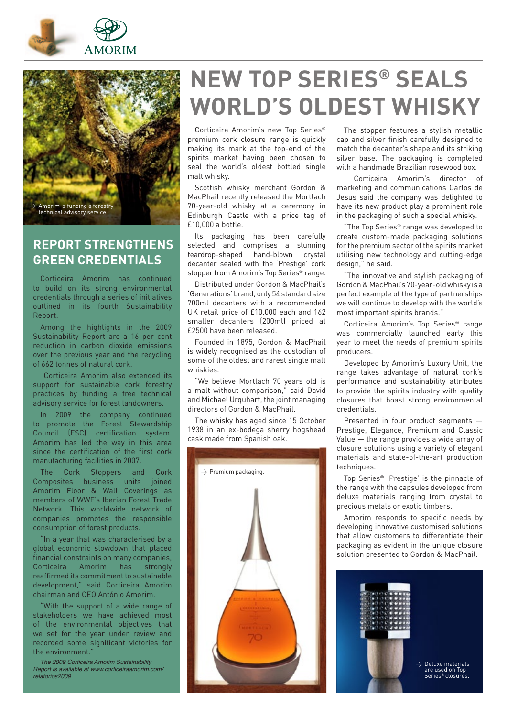



### **REPORT STRENGTHENS GREEN CREDENTIALS**

Corticeira Amorim has continued to build on its strong environmental credentials through a series of initiatives outlined in its fourth Sustainability Report.

Among the highlights in the 2009 Sustainability Report are a 16 per cent reduction in carbon dioxide emissions over the previous year and the recycling of 662 tonnes of natural cork.

 Corticeira Amorim also extended its support for sustainable cork forestry practices by funding a free technical advisory service for forest landowners.

In 2009 the company continued to promote the Forest Stewardship Council (FSC) certification system. Amorim has led the way in this area since the certification of the first cork manufacturing facilities in 2007.

The Cork Stoppers and Cork Composites business units joined Amorim Floor & Wall Coverings as members of WWF's Iberian Forest Trade Network. This worldwide network of companies promotes the responsible consumption of forest products.

In a year that was characterised by a global economic slowdown that placed financial constraints on many companies, Corticeira Amorim has strongly reaffirmed its commitment to sustainable development," said Corticeira Amorim chairman and CEO António Amorim.

'With the support of a wide range of stakeholders we have achieved most of the environmental objectives that we set for the year under review and recorded some significant victories for the environment."

The 2009 Corticeira Amorim Sustainability Report is available at www.corticeiraamorim.com/ relatorios2009

# **NEW TOP SERIES® SEALS WORLD'S OLDEST WHISKY**

Corticeira Amorim's new Top Series® premium cork closure range is quickly making its mark at the top-end of the spirits market having been chosen to seal the world's oldest bottled single malt whisky.

Scottish whisky merchant Gordon & MacPhail recently released the Mortlach 70-year-old whisky at a ceremony in Edinburgh Castle with a price tag of £10,000 a bottle.

Its packaging has been carefully selected and comprises a stunning teardrop-shaped hand-blown crystal decanter sealed with the 'Prestige' cork stopper from Amorim's Top Series<sup>®</sup> range.

Distributed under Gordon & MacPhail's 'Generations' brand, only 54 standard size 700ml decanters with a recommended UK retail price of £10,000 each and 162 smaller decanters (200ml) priced at £2500 have been released.

Founded in 1895, Gordon & MacPhail is widely recognised as the custodian of some of the oldest and rarest single malt whiskies.

'We believe Mortlach 70 years old is a malt without comparison," said David and Michael Urquhart, the joint managing directors of Gordon & MacPhail.

The whisky has aged since 15 October 1938 in an ex-bodega sherry hogshead cask made from Spanish oak.



The stopper features a stylish metallic cap and silver finish carefully designed to match the decanter's shape and its striking silver base. The packaging is completed with a handmade Brazilian rosewood box.

 Corticeira Amorim's director of marketing and communications Carlos de Jesus said the company was delighted to have its new product play a prominent role in the packaging of such a special whisky.

"The Top Series® range was developed to create custom-made packaging solutions for the premium sector of the spirits market utilising new technology and cutting-edge design," he said.

"The innovative and stylish packaging of Gordon & MacPhail's 70-year-old whisky is a perfect example of the type of partnerships we will continue to develop with the world's most important spirits brands."

Corticeira Amorim's Top Series® range was commercially launched early this year to meet the needs of premium spirits producers.

Developed by Amorim's Luxury Unit, the range takes advantage of natural cork's performance and sustainability attributes to provide the spirits industry with quality closures that boast strong environmental credentials.

Presented in four product segments — Prestige, Elegance, Premium and Classic Value — the range provides a wide array of closure solutions using a variety of elegant materials and state-of-the-art production techniques.

Top Series® 'Prestige' is the pinnacle of the range with the capsules developed from deluxe materials ranging from crystal to precious metals or exotic timbers.

Amorim responds to specific needs by developing innovative customised solutions that allow customers to differentiate their packaging as evident in the unique closure solution presented to Gordon & MacPhail.

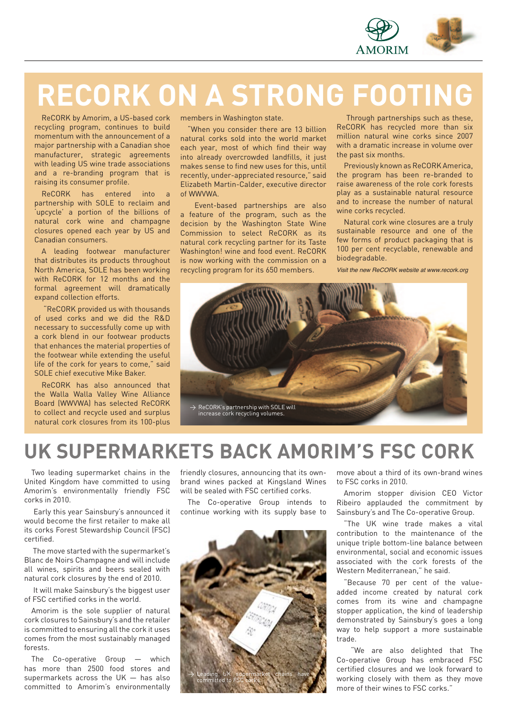

# **RECORK ON A STRONG FOOTING**

ReCORK by Amorim, a US-based cork recycling program, continues to build momentum with the announcement of a major partnership with a Canadian shoe manufacturer, strategic agreements with leading US wine trade associations and a re-branding program that is raising its consumer profile.

ReCORK has entered into a partnership with SOLE to reclaim and 'upcycle' a portion of the billions of natural cork wine and champagne closures opened each year by US and Canadian consumers.

A leading footwear manufacturer that distributes its products throughout North America, SOLE has been working with ReCORK for 12 months and the formal agreement will dramatically expand collection efforts.

 "ReCORK provided us with thousands of used corks and we did the R&D necessary to successfully come up with a cork blend in our footwear products that enhances the material properties of the footwear while extending the useful life of the cork for years to come," said SOLE chief executive Mike Baker.

ReCORK has also announced that the Walla Walla Valley Wine Alliance Board (WWVWA) has selected ReCORK to collect and recycle used and surplus natural cork closures from its 100-plus members in Washington state.

"When you consider there are 13 billion natural corks sold into the world market each year, most of which find their way into already overcrowded landfills, it just makes sense to find new uses for this, until recently, under-appreciated resource," said Elizabeth Martin-Calder, executive director of WWVWA.

 Event-based partnerships are also a feature of the program, such as the decision by the Washington State Wine Commission to select ReCORK as its natural cork recycling partner for its Taste Washington! wine and food event. ReCORK is now working with the commission on a recycling program for its 650 members.

 Through partnerships such as these, ReCORK has recycled more than six million natural wine corks since 2007 with a dramatic increase in volume over the past six months.

Previously known as ReCORK America, the program has been re-branded to raise awareness of the role cork forests play as a sustainable natural resource and to increase the number of natural wine corks recycled.

Natural cork wine closures are a truly sustainable resource and one of the few forms of product packaging that is 100 per cent recyclable, renewable and biodegradable.

Visit the new ReCORK website at www.recork.org



# **UK SUPERMARKETS BACK AMORIM'S FSC CORK**

Two leading supermarket chains in the United Kingdom have committed to using Amorim's environmentally friendly FSC corks in 2010.

 Early this year Sainsbury's announced it would become the first retailer to make all its corks Forest Stewardship Council (FSC) certified.

 The move started with the supermarket's Blanc de Noirs Champagne and will include all wines, spirits and beers sealed with natural cork closures by the end of 2010.

 It will make Sainsbury's the biggest user of FSC certified corks in the world.

Amorim is the sole supplier of natural cork closures to Sainsbury's and the retailer is committed to ensuring all the cork it uses comes from the most sustainably managed forests.

The Co-operative Group — which has more than 2500 food stores and supermarkets across the UK — has also committed to Amorim's environmentally

friendly closures, announcing that its ownbrand wines packed at Kingsland Wines will be sealed with FSC certified corks.

The Co-operative Group intends to continue working with its supply base to



move about a third of its own-brand wines to FSC corks in 2010.

Amorim stopper division CEO Victor Ribeiro applauded the commitment by Sainsbury's and The Co-operative Group.

"The UK wine trade makes a vital contribution to the maintenance of the unique triple bottom-line balance between environmental, social and economic issues associated with the cork forests of the Western Mediterranean," he said.

"Because 70 per cent of the valueadded income created by natural cork comes from its wine and champagne stopper application, the kind of leadership demonstrated by Sainsbury's goes a long way to help support a more sustainable trade.

 "We are also delighted that The Co-operative Group has embraced FSC certified closures and we look forward to working closely with them as they move more of their wines to FSC corks."